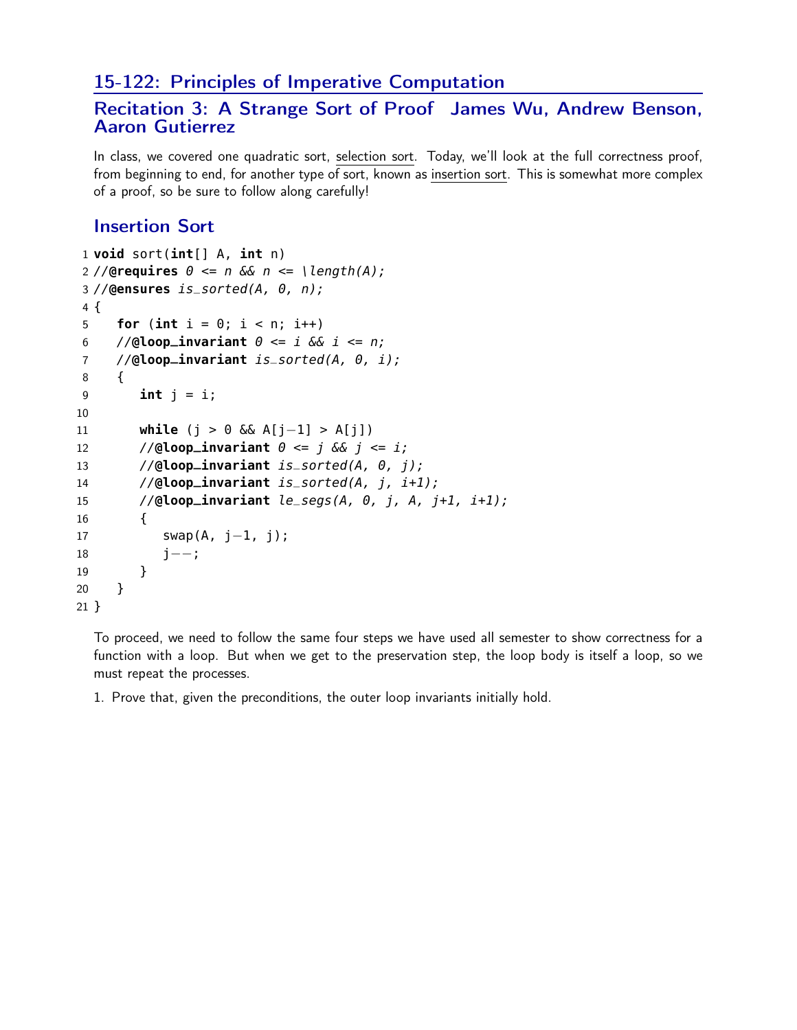## 15-122: Principles of Imperative Computation

## Recitation 3: A Strange Sort of Proof James Wu, Andrew Benson, Aaron Gutierrez

In class, we covered one quadratic sort, selection sort. Today, we'll look at the full correctness proof, from beginning to end, for another type of sort, known as insertion sort. This is somewhat more complex of a proof, so be sure to follow along carefully!

## Insertion Sort

```
1 void sort(int[] A, int n)
2 //@requires \theta \le n & n \le \lceil \frac{length(A)}{1} \rceil3 //@ensures is_sorted(A, 0, n);
4 {
5 for (int i = 0; i < n; i++)6 //@loop_invariant \theta \leq i & i \leq n;
7 //@loop_invariant is_sorted(A, 0, i);
8 {
9 int j = i;
10
11 while (j > 0 && A[j−1] > A[j])
12 //@loop_invariant \theta \leq j & j \leq i;
13 //@loop_invariant is_sorted(A, 0, j);
14 //@loop_invariant is_sorted(A, j, i+1);
15 //@loop_invariant le_segs(A, 0, j, A, j+1, i+1);
16 {
17 swap(A, j-1, j);
18 j−−;
19 }
20 }
21 }
```
To proceed, we need to follow the same four steps we have used all semester to show correctness for a function with a loop. But when we get to the preservation step, the loop body is itself a loop, so we must repeat the processes.

1. Prove that, given the preconditions, the outer loop invariants initially hold.